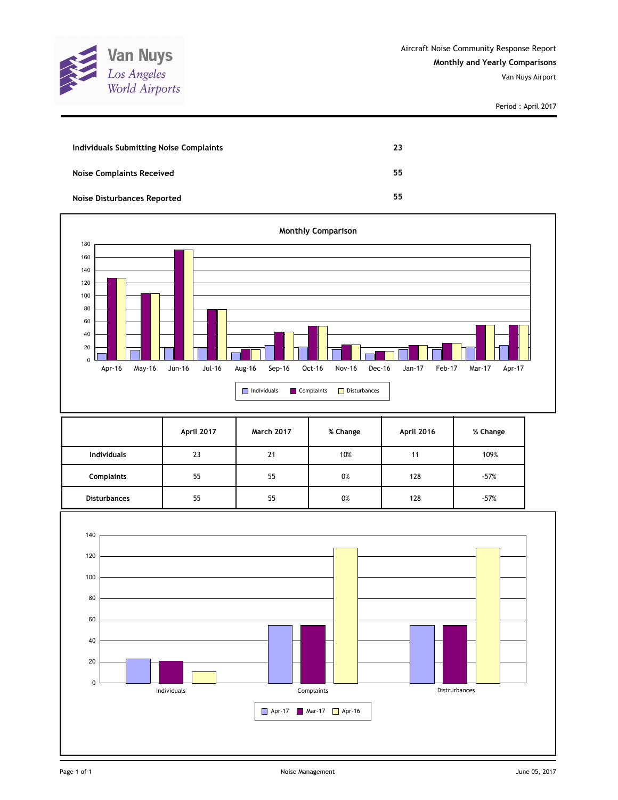

Period : April 2017

| Individuals Submitting Noise Complaints | 23 |
|-----------------------------------------|----|
| <b>Noise Complaints Received</b>        | 55 |
| <b>Noise Disturbances Reported</b>      | 55 |



|                     | April 2017 | <b>March 2017</b> | % Change | April 2016 | % Change |
|---------------------|------------|-------------------|----------|------------|----------|
| <b>Individuals</b>  | 23         | 21                | 10%      | 11         | 109%     |
| Complaints          | 55         | 55                | 0%       | 128        | $-57%$   |
| <b>Disturbances</b> | 55         | 55                | 0%       | 128        | $-57%$   |

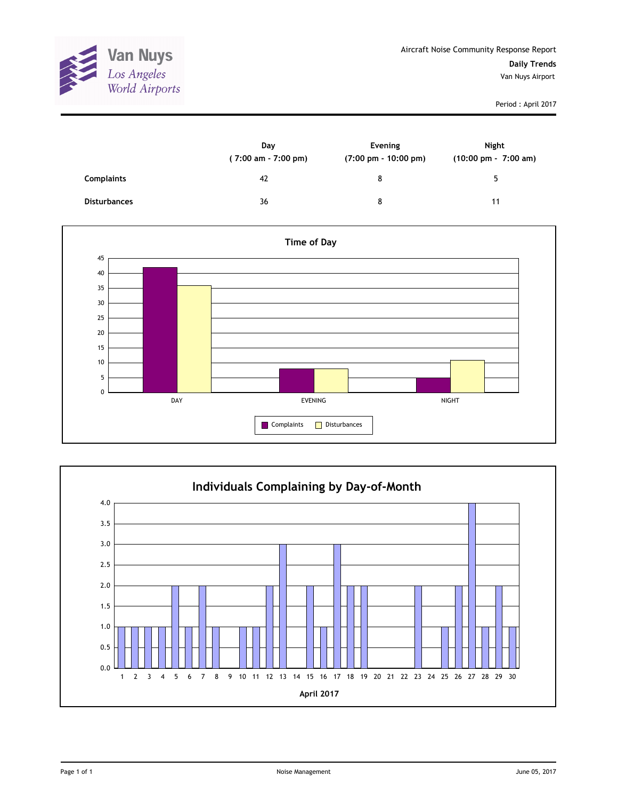

Period : April 2017

|                     | Day<br>(7:00 am - 7:00 pm) | Evening<br>$(7:00 \text{ pm} - 10:00 \text{ pm})$ | Night<br>$(10:00 \text{ pm} - 7:00 \text{ am})$ |
|---------------------|----------------------------|---------------------------------------------------|-------------------------------------------------|
| <b>Complaints</b>   | 42                         | 8                                                 | г.                                              |
| <b>Disturbances</b> | 36                         | 8                                                 | 11                                              |



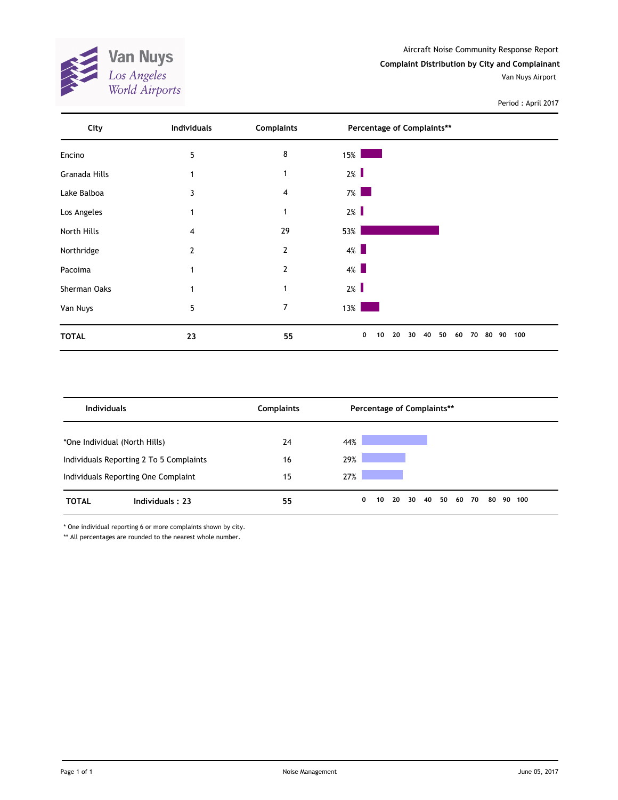Aircraft Noise Community Response Report **Complaint Distribution by City and Complainant**

Van Nuys Airport



Period : April 2017

| City          | Individuals | <b>Complaints</b> | Percentage of Complaints**                  |           |
|---------------|-------------|-------------------|---------------------------------------------|-----------|
| Encino        | 5           | 8                 | 15%                                         |           |
| Granada Hills | 1           | 1                 | $2\%$                                       |           |
| Lake Balboa   | 3           | 4                 | $7\%$                                       |           |
| Los Angeles   | 1           | 1                 | $2\%$                                       |           |
| North Hills   | 4           | 29                | 53%                                         |           |
| Northridge    | 2           | $\overline{2}$    | $4\%$                                       |           |
| Pacoima       |             | $\overline{2}$    | $4\%$                                       |           |
| Sherman Oaks  |             | -1                | $2\%$                                       |           |
| Van Nuys      | 5           | 7                 | $13\%$                                      |           |
| <b>TOTAL</b>  | 23          | 55                | 0<br>20<br>40<br>50<br>10<br>30<br>60<br>70 | 80 90 100 |

| <b>Individuals</b>            |                                         | <b>Complaints</b> |     |   |    |    |    |    | Percentage of Complaints** |       |    |        |
|-------------------------------|-----------------------------------------|-------------------|-----|---|----|----|----|----|----------------------------|-------|----|--------|
| *One Individual (North Hills) |                                         | 24                | 44% |   |    |    |    |    |                            |       |    |        |
|                               | Individuals Reporting 2 To 5 Complaints | 16                | 29% |   |    |    |    |    |                            |       |    |        |
|                               | Individuals Reporting One Complaint     | 15                | 27% |   |    |    |    |    |                            |       |    |        |
| <b>TOTAL</b>                  | Individuals: 23                         | 55                |     | 0 | 10 | 20 | 30 | 40 | 50                         | 60 70 | 80 | 90 100 |

\* One individual reporting 6 or more complaints shown by city.

\*\* All percentages are rounded to the nearest whole number.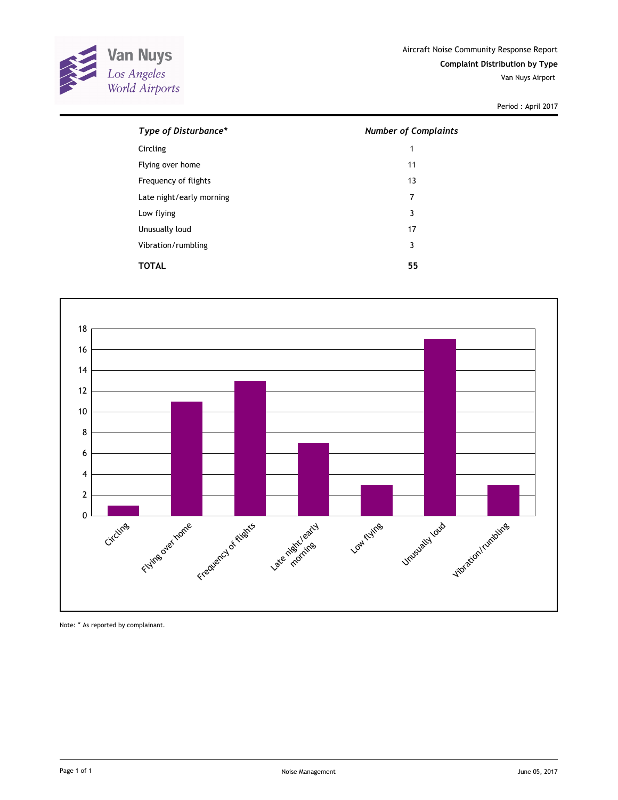

Period : April 2017

| Type of Disturbance*     | <b>Number of Complaints</b> |
|--------------------------|-----------------------------|
| Circling                 | 1                           |
| Flying over home         | 11                          |
| Frequency of flights     | 13                          |
| Late night/early morning | 7                           |
| Low flying               | 3                           |
| Unusually loud           | 17                          |
| Vibration/rumbling       | 3                           |
| TOTAL                    | 55                          |



Note: \* As reported by complainant.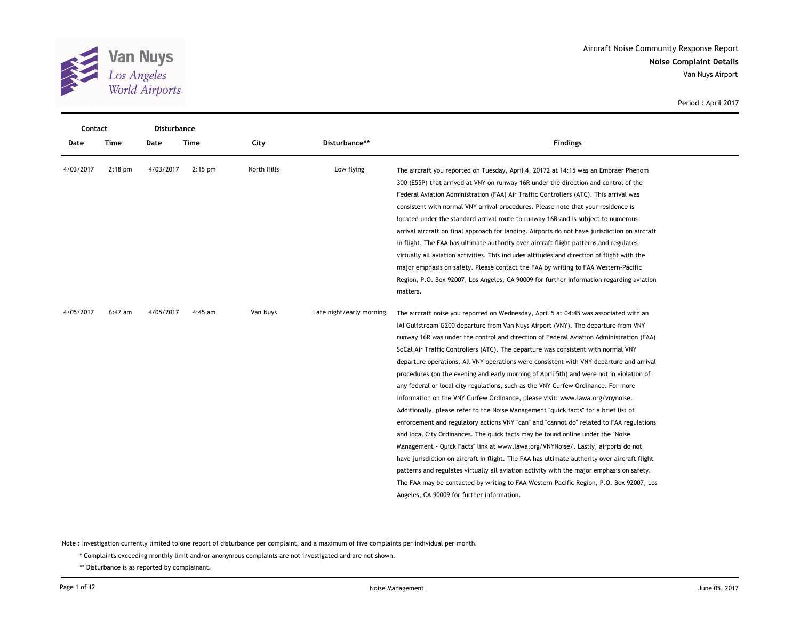

 $\overline{a}$ 

| Contact   |           | Disturbance |           |             |                          |                                                                                               |
|-----------|-----------|-------------|-----------|-------------|--------------------------|-----------------------------------------------------------------------------------------------|
| Date      | Time      | Date        | Time      | City        | Disturbance**            | <b>Findings</b>                                                                               |
| 4/03/2017 | $2:18$ pm | 4/03/2017   | $2:15$ pm | North Hills | Low flying               | The aircraft you reported on Tuesday, April 4, 20172 at 14:15 was an Embraer Phenom           |
|           |           |             |           |             |                          | 300 (E55P) that arrived at VNY on runway 16R under the direction and control of the           |
|           |           |             |           |             |                          | Federal Aviation Administration (FAA) Air Traffic Controllers (ATC). This arrival was         |
|           |           |             |           |             |                          | consistent with normal VNY arrival procedures. Please note that your residence is             |
|           |           |             |           |             |                          | located under the standard arrival route to runway 16R and is subject to numerous             |
|           |           |             |           |             |                          | arrival aircraft on final approach for landing. Airports do not have jurisdiction on aircraft |
|           |           |             |           |             |                          | in flight. The FAA has ultimate authority over aircraft flight patterns and regulates         |
|           |           |             |           |             |                          | virtually all aviation activities. This includes altitudes and direction of flight with the   |
|           |           |             |           |             |                          | major emphasis on safety. Please contact the FAA by writing to FAA Western-Pacific            |
|           |           |             |           |             |                          | Region, P.O. Box 92007, Los Angeles, CA 90009 for further information regarding aviation      |
|           |           |             |           |             |                          | matters.                                                                                      |
| 4/05/2017 | $6:47$ am | 4/05/2017   | $4:45$ am | Van Nuys    | Late night/early morning | The aircraft noise you reported on Wednesday, April 5 at 04:45 was associated with an         |
|           |           |             |           |             |                          | IAI Gulfstream G200 departure from Van Nuys Airport (VNY). The departure from VNY             |
|           |           |             |           |             |                          | runway 16R was under the control and direction of Federal Aviation Administration (FAA)       |
|           |           |             |           |             |                          | SoCal Air Traffic Controllers (ATC). The departure was consistent with normal VNY             |
|           |           |             |           |             |                          | departure operations. All VNY operations were consistent with VNY departure and arrival       |
|           |           |             |           |             |                          | procedures (on the evening and early morning of April 5th) and were not in violation of       |
|           |           |             |           |             |                          | any federal or local city regulations, such as the VNY Curfew Ordinance. For more             |
|           |           |             |           |             |                          | information on the VNY Curfew Ordinance, please visit: www.lawa.org/vnynoise.                 |
|           |           |             |           |             |                          | Additionally, please refer to the Noise Management "quick facts" for a brief list of          |
|           |           |             |           |             |                          | enforcement and regulatory actions VNY "can" and "cannot do" related to FAA regulations       |
|           |           |             |           |             |                          | and local City Ordinances. The quick facts may be found online under the "Noise"              |
|           |           |             |           |             |                          | Management - Quick Facts" link at www.lawa.org/VNYNoise/. Lastly, airports do not             |
|           |           |             |           |             |                          | have jurisdiction on aircraft in flight. The FAA has ultimate authority over aircraft flight  |
|           |           |             |           |             |                          | patterns and regulates virtually all aviation activity with the major emphasis on safety.     |
|           |           |             |           |             |                          | The FAA may be contacted by writing to FAA Western-Pacific Region, P.O. Box 92007, Los        |
|           |           |             |           |             |                          | Angeles, CA 90009 for further information.                                                    |

Period : April 2017

Note : Investigation currently limited to one report of disturbance per complaint, and a maximum of five complaints per individual per month.

\* Complaints exceeding monthly limit and/or anonymous complaints are not investigated and are not shown.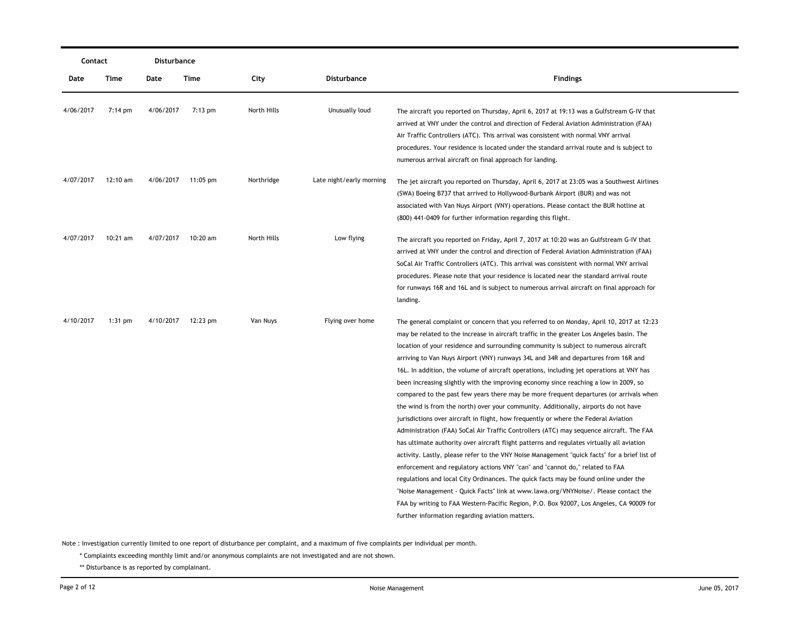| Contact   |                   | Disturbance |                    |             |                          |                                                                                                                                                                                                                                                                                                                                                                                                                                                                                                                                                                                                                                                                                                                                                                                                                                                                                                                                                                                                                                                                                                                                                                                                                                                                                                                                                                                                                                                                                                                                     |
|-----------|-------------------|-------------|--------------------|-------------|--------------------------|-------------------------------------------------------------------------------------------------------------------------------------------------------------------------------------------------------------------------------------------------------------------------------------------------------------------------------------------------------------------------------------------------------------------------------------------------------------------------------------------------------------------------------------------------------------------------------------------------------------------------------------------------------------------------------------------------------------------------------------------------------------------------------------------------------------------------------------------------------------------------------------------------------------------------------------------------------------------------------------------------------------------------------------------------------------------------------------------------------------------------------------------------------------------------------------------------------------------------------------------------------------------------------------------------------------------------------------------------------------------------------------------------------------------------------------------------------------------------------------------------------------------------------------|
| Date      | Time              | Date        | Time               | City        | <b>Disturbance</b>       | <b>Findings</b>                                                                                                                                                                                                                                                                                                                                                                                                                                                                                                                                                                                                                                                                                                                                                                                                                                                                                                                                                                                                                                                                                                                                                                                                                                                                                                                                                                                                                                                                                                                     |
| 4/06/2017 | $7:14 \text{ pm}$ | 4/06/2017   | $7:13$ pm          | North Hills | Unusually loud           | The aircraft you reported on Thursday, April 6, 2017 at 19:13 was a Gulfstream G-IV that<br>arrived at VNY under the control and direction of Federal Aviation Administration (FAA)<br>Air Traffic Controllers (ATC). This arrival was consistent with normal VNY arrival<br>procedures. Your residence is located under the standard arrival route and is subject to<br>numerous arrival aircraft on final approach for landing.                                                                                                                                                                                                                                                                                                                                                                                                                                                                                                                                                                                                                                                                                                                                                                                                                                                                                                                                                                                                                                                                                                   |
| 4/07/2017 | 12:10 am          |             | 4/06/2017 11:05 pm | Northridge  | Late night/early morning | The jet aircraft you reported on Thursday, April 6, 2017 at 23:05 was a Southwest Airlines<br>(SWA) Boeing B737 that arrived to Hollywood-Burbank Airport (BUR) and was not<br>associated with Van Nuys Airport (VNY) operations. Please contact the BUR hotline at<br>(800) 441-0409 for further information regarding this flight.                                                                                                                                                                                                                                                                                                                                                                                                                                                                                                                                                                                                                                                                                                                                                                                                                                                                                                                                                                                                                                                                                                                                                                                                |
| 4/07/2017 | $10:21$ am        | 4/07/2017   | 10:20 am           | North Hills | Low flying               | The aircraft you reported on Friday, April 7, 2017 at 10:20 was an Gulfstream G-IV that<br>arrived at VNY under the control and direction of Federal Aviation Administration (FAA)<br>SoCal Air Traffic Controllers (ATC). This arrival was consistent with normal VNY arrival<br>procedures. Please note that your residence is located near the standard arrival route<br>for runways 16R and 16L and is subject to numerous arrival aircraft on final approach for<br>landing.                                                                                                                                                                                                                                                                                                                                                                                                                                                                                                                                                                                                                                                                                                                                                                                                                                                                                                                                                                                                                                                   |
| 4/10/2017 | $1:31$ pm         |             | 4/10/2017 12:23 pm | Van Nuys    | Flying over home         | The general complaint or concern that you referred to on Monday, April 10, 2017 at 12:23<br>may be related to the increase in aircraft traffic in the greater Los Angeles basin. The<br>location of your residence and surrounding community is subject to numerous aircraft<br>arriving to Van Nuys Airport (VNY) runways 34L and 34R and departures from 16R and<br>16L. In addition, the volume of aircraft operations, including jet operations at VNY has<br>been increasing slightly with the improving economy since reaching a low in 2009, so<br>compared to the past few years there may be more frequent departures (or arrivals when<br>the wind is from the north) over your community. Additionally, airports do not have<br>jurisdictions over aircraft in flight, how frequently or where the Federal Aviation<br>Administration (FAA) SoCal Air Traffic Controllers (ATC) may sequence aircraft. The FAA<br>has ultimate authority over aircraft flight patterns and regulates virtually all aviation<br>activity. Lastly, please refer to the VNY Noise Management "quick facts" for a brief list of<br>enforcement and regulatory actions VNY "can" and "cannot do," related to FAA<br>regulations and local City Ordinances. The quick facts may be found online under the<br>"Noise Management - Quick Facts" link at www.lawa.org/VNYNoise/. Please contact the<br>FAA by writing to FAA Western-Pacific Region, P.O. Box 92007, Los Angeles, CA 90009 for<br>further information regarding aviation matters. |

\* Complaints exceeding monthly limit and/or anonymous complaints are not investigated and are not shown.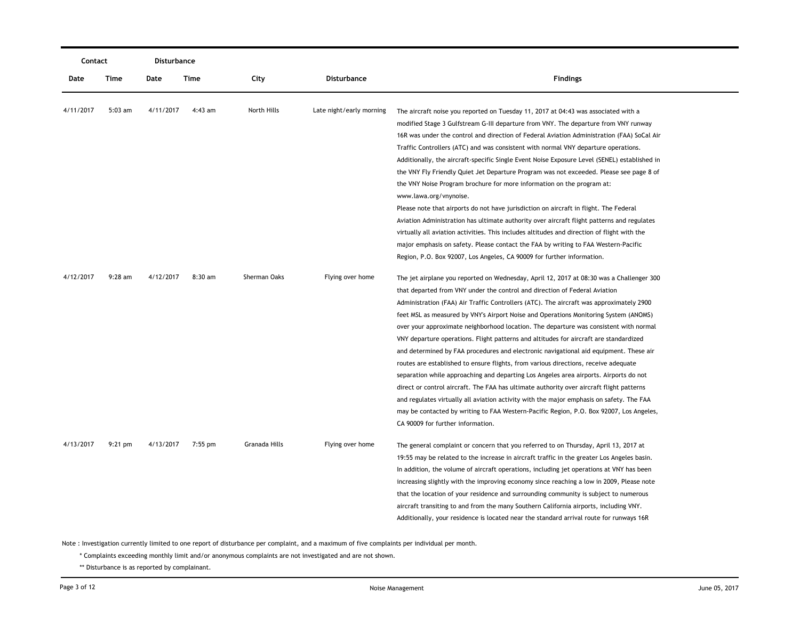|           | Contact   |           | Disturbance |               |                          |                                                                                                                                                                                                                                                                                                                                                                                                                                                                                                                                                                                                                                                                                                                                                                                                                                                                                                                                                                                                                                                                                                                                              |
|-----------|-----------|-----------|-------------|---------------|--------------------------|----------------------------------------------------------------------------------------------------------------------------------------------------------------------------------------------------------------------------------------------------------------------------------------------------------------------------------------------------------------------------------------------------------------------------------------------------------------------------------------------------------------------------------------------------------------------------------------------------------------------------------------------------------------------------------------------------------------------------------------------------------------------------------------------------------------------------------------------------------------------------------------------------------------------------------------------------------------------------------------------------------------------------------------------------------------------------------------------------------------------------------------------|
| Date      | Time      | Date      | Time        | City          | <b>Disturbance</b>       | <b>Findings</b>                                                                                                                                                                                                                                                                                                                                                                                                                                                                                                                                                                                                                                                                                                                                                                                                                                                                                                                                                                                                                                                                                                                              |
| 4/11/2017 | $5:03$ am | 4/11/2017 | $4:43$ am   | North Hills   | Late night/early morning | The aircraft noise you reported on Tuesday 11, 2017 at 04:43 was associated with a<br>modified Stage 3 Gulfstream G-III departure from VNY. The departure from VNY runway<br>16R was under the control and direction of Federal Aviation Administration (FAA) SoCal Air<br>Traffic Controllers (ATC) and was consistent with normal VNY departure operations.<br>Additionally, the aircraft-specific Single Event Noise Exposure Level (SENEL) established in<br>the VNY Fly Friendly Quiet Jet Departure Program was not exceeded. Please see page 8 of<br>the VNY Noise Program brochure for more information on the program at:<br>www.lawa.org/vnynoise.<br>Please note that airports do not have jurisdiction on aircraft in flight. The Federal<br>Aviation Administration has ultimate authority over aircraft flight patterns and regulates<br>virtually all aviation activities. This includes altitudes and direction of flight with the<br>major emphasis on safety. Please contact the FAA by writing to FAA Western-Pacific<br>Region, P.O. Box 92007, Los Angeles, CA 90009 for further information.                           |
| 4/12/2017 | $9:28$ am | 4/12/2017 | 8:30 am     | Sherman Oaks  | Flying over home         | The jet airplane you reported on Wednesday, April 12, 2017 at 08:30 was a Challenger 300<br>that departed from VNY under the control and direction of Federal Aviation<br>Administration (FAA) Air Traffic Controllers (ATC). The aircraft was approximately 2900<br>feet MSL as measured by VNY's Airport Noise and Operations Monitoring System (ANOMS)<br>over your approximate neighborhood location. The departure was consistent with normal<br>VNY departure operations. Flight patterns and altitudes for aircraft are standardized<br>and determined by FAA procedures and electronic navigational aid equipment. These air<br>routes are established to ensure flights, from various directions, receive adequate<br>separation while approaching and departing Los Angeles area airports. Airports do not<br>direct or control aircraft. The FAA has ultimate authority over aircraft flight patterns<br>and regulates virtually all aviation activity with the major emphasis on safety. The FAA<br>may be contacted by writing to FAA Western-Pacific Region, P.O. Box 92007, Los Angeles,<br>CA 90009 for further information. |
| 4/13/2017 | $9:21$ pm | 4/13/2017 | $7:55$ pm   | Granada Hills | Flying over home         | The general complaint or concern that you referred to on Thursday, April 13, 2017 at<br>19:55 may be related to the increase in aircraft traffic in the greater Los Angeles basin.<br>In addition, the volume of aircraft operations, including jet operations at VNY has been<br>increasing slightly with the improving economy since reaching a low in 2009, Please note<br>that the location of your residence and surrounding community is subject to numerous<br>aircraft transiting to and from the many Southern California airports, including VNY.<br>Additionally, your residence is located near the standard arrival route for runways 16R                                                                                                                                                                                                                                                                                                                                                                                                                                                                                       |

\* Complaints exceeding monthly limit and/or anonymous complaints are not investigated and are not shown.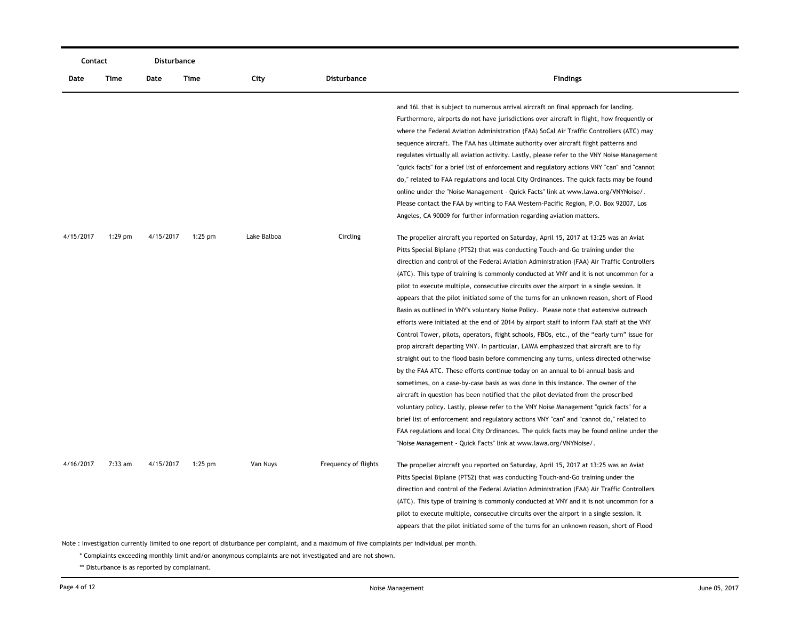| Contact   |             | Disturbance |           |             |                      |                                                                                                                                                                                                                                                                                                                                                                                                                                                                                                                                                                                                                                                                                                                                                                                                                                                                                                                                                                                                                                                                                                                                                                                                                                                                                                                                                                                                                                                                                                                                                                                  |
|-----------|-------------|-------------|-----------|-------------|----------------------|----------------------------------------------------------------------------------------------------------------------------------------------------------------------------------------------------------------------------------------------------------------------------------------------------------------------------------------------------------------------------------------------------------------------------------------------------------------------------------------------------------------------------------------------------------------------------------------------------------------------------------------------------------------------------------------------------------------------------------------------------------------------------------------------------------------------------------------------------------------------------------------------------------------------------------------------------------------------------------------------------------------------------------------------------------------------------------------------------------------------------------------------------------------------------------------------------------------------------------------------------------------------------------------------------------------------------------------------------------------------------------------------------------------------------------------------------------------------------------------------------------------------------------------------------------------------------------|
| Date      | <b>Time</b> | Date        | Time      | City        | <b>Disturbance</b>   | <b>Findings</b>                                                                                                                                                                                                                                                                                                                                                                                                                                                                                                                                                                                                                                                                                                                                                                                                                                                                                                                                                                                                                                                                                                                                                                                                                                                                                                                                                                                                                                                                                                                                                                  |
|           |             |             |           |             |                      | and 16L that is subject to numerous arrival aircraft on final approach for landing.<br>Furthermore, airports do not have jurisdictions over aircraft in flight, how frequently or<br>where the Federal Aviation Administration (FAA) SoCal Air Traffic Controllers (ATC) may<br>sequence aircraft. The FAA has ultimate authority over aircraft flight patterns and<br>regulates virtually all aviation activity. Lastly, please refer to the VNY Noise Management<br>"quick facts" for a brief list of enforcement and regulatory actions VNY "can" and "cannot<br>do," related to FAA regulations and local City Ordinances. The quick facts may be found<br>online under the "Noise Management - Quick Facts" link at www.lawa.org/VNYNoise/.<br>Please contact the FAA by writing to FAA Western-Pacific Region, P.O. Box 92007, Los<br>Angeles, CA 90009 for further information regarding aviation matters.                                                                                                                                                                                                                                                                                                                                                                                                                                                                                                                                                                                                                                                                |
| 4/15/2017 | $1:29$ pm   | 4/15/2017   | $1:25$ pm | Lake Balboa | Circling             | The propeller aircraft you reported on Saturday, April 15, 2017 at 13:25 was an Aviat<br>Pitts Special Biplane (PTS2) that was conducting Touch-and-Go training under the<br>direction and control of the Federal Aviation Administration (FAA) Air Traffic Controllers<br>(ATC). This type of training is commonly conducted at VNY and it is not uncommon for a<br>pilot to execute multiple, consecutive circuits over the airport in a single session. It<br>appears that the pilot initiated some of the turns for an unknown reason, short of Flood<br>Basin as outlined in VNY's voluntary Noise Policy. Please note that extensive outreach<br>efforts were initiated at the end of 2014 by airport staff to inform FAA staff at the VNY<br>Control Tower, pilots, operators, flight schools, FBOs, etc., of the "early turn" issue for<br>prop aircraft departing VNY. In particular, LAWA emphasized that aircraft are to fly<br>straight out to the flood basin before commencing any turns, unless directed otherwise<br>by the FAA ATC. These efforts continue today on an annual to bi-annual basis and<br>sometimes, on a case-by-case basis as was done in this instance. The owner of the<br>aircraft in question has been notified that the pilot deviated from the proscribed<br>voluntary policy. Lastly, please refer to the VNY Noise Management "quick facts" for a<br>brief list of enforcement and regulatory actions VNY "can" and "cannot do," related to<br>FAA regulations and local City Ordinances. The quick facts may be found online under the |
| 4/16/2017 | 7:33 am     | 4/15/2017   | $1:25$ pm | Van Nuys    | Frequency of flights | "Noise Management - Quick Facts" link at www.lawa.org/VNYNoise/.<br>The propeller aircraft you reported on Saturday, April 15, 2017 at 13:25 was an Aviat<br>Pitts Special Biplane (PTS2) that was conducting Touch-and-Go training under the<br>direction and control of the Federal Aviation Administration (FAA) Air Traffic Controllers<br>(ATC). This type of training is commonly conducted at VNY and it is not uncommon for a<br>pilot to execute multiple, consecutive circuits over the airport in a single session. It<br>appears that the pilot initiated some of the turns for an unknown reason, short of Flood                                                                                                                                                                                                                                                                                                                                                                                                                                                                                                                                                                                                                                                                                                                                                                                                                                                                                                                                                    |

\* Complaints exceeding monthly limit and/or anonymous complaints are not investigated and are not shown.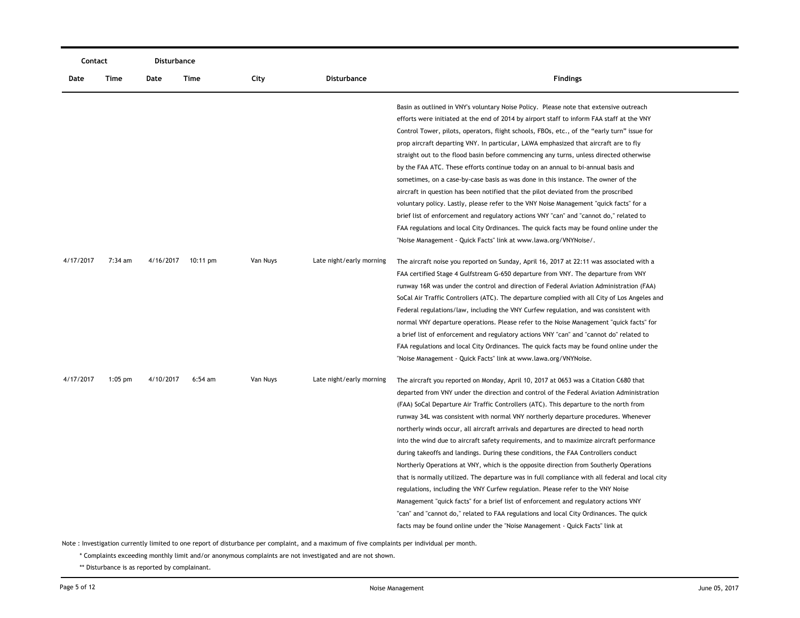| Contact   |           | Disturbance |                    |          |                          |                                                                                                 |
|-----------|-----------|-------------|--------------------|----------|--------------------------|-------------------------------------------------------------------------------------------------|
| Date      | Time      | Date        | Time               | City     | <b>Disturbance</b>       | <b>Findings</b>                                                                                 |
|           |           |             |                    |          |                          | Basin as outlined in VNY's voluntary Noise Policy. Please note that extensive outreach          |
|           |           |             |                    |          |                          | efforts were initiated at the end of 2014 by airport staff to inform FAA staff at the VNY       |
|           |           |             |                    |          |                          | Control Tower, pilots, operators, flight schools, FBOs, etc., of the "early turn" issue for     |
|           |           |             |                    |          |                          | prop aircraft departing VNY. In particular, LAWA emphasized that aircraft are to fly            |
|           |           |             |                    |          |                          | straight out to the flood basin before commencing any turns, unless directed otherwise          |
|           |           |             |                    |          |                          | by the FAA ATC. These efforts continue today on an annual to bi-annual basis and                |
|           |           |             |                    |          |                          | sometimes, on a case-by-case basis as was done in this instance. The owner of the               |
|           |           |             |                    |          |                          | aircraft in question has been notified that the pilot deviated from the proscribed              |
|           |           |             |                    |          |                          | voluntary policy. Lastly, please refer to the VNY Noise Management "quick facts" for a          |
|           |           |             |                    |          |                          | brief list of enforcement and regulatory actions VNY "can" and "cannot do," related to          |
|           |           |             |                    |          |                          | FAA regulations and local City Ordinances. The quick facts may be found online under the        |
|           |           |             |                    |          |                          | "Noise Management - Quick Facts" link at www.lawa.org/VNYNoise/.                                |
| 4/17/2017 | 7:34 am   | 4/16/2017   | $10:11 \text{ pm}$ | Van Nuys | Late night/early morning | The aircraft noise you reported on Sunday, April 16, 2017 at 22:11 was associated with a        |
|           |           |             |                    |          |                          | FAA certified Stage 4 Gulfstream G-650 departure from VNY. The departure from VNY               |
|           |           |             |                    |          |                          | runway 16R was under the control and direction of Federal Aviation Administration (FAA)         |
|           |           |             |                    |          |                          | SoCal Air Traffic Controllers (ATC). The departure complied with all City of Los Angeles and    |
|           |           |             |                    |          |                          | Federal regulations/law, including the VNY Curfew regulation, and was consistent with           |
|           |           |             |                    |          |                          | normal VNY departure operations. Please refer to the Noise Management "quick facts" for         |
|           |           |             |                    |          |                          | a brief list of enforcement and regulatory actions VNY "can" and "cannot do" related to         |
|           |           |             |                    |          |                          | FAA regulations and local City Ordinances. The quick facts may be found online under the        |
|           |           |             |                    |          |                          | "Noise Management - Quick Facts" link at www.lawa.org/VNYNoise.                                 |
| 4/17/2017 | $1:05$ pm | 4/10/2017   | $6:54$ am          | Van Nuys | Late night/early morning | The aircraft you reported on Monday, April 10, 2017 at 0653 was a Citation C680 that            |
|           |           |             |                    |          |                          | departed from VNY under the direction and control of the Federal Aviation Administration        |
|           |           |             |                    |          |                          |                                                                                                 |
|           |           |             |                    |          |                          | (FAA) SoCal Departure Air Traffic Controllers (ATC). This departure to the north from           |
|           |           |             |                    |          |                          | runway 34L was consistent with normal VNY northerly departure procedures. Whenever              |
|           |           |             |                    |          |                          | northerly winds occur, all aircraft arrivals and departures are directed to head north          |
|           |           |             |                    |          |                          | into the wind due to aircraft safety requirements, and to maximize aircraft performance         |
|           |           |             |                    |          |                          | during takeoffs and landings. During these conditions, the FAA Controllers conduct              |
|           |           |             |                    |          |                          | Northerly Operations at VNY, which is the opposite direction from Southerly Operations          |
|           |           |             |                    |          |                          | that is normally utilized. The departure was in full compliance with all federal and local city |
|           |           |             |                    |          |                          | regulations, including the VNY Curfew regulation. Please refer to the VNY Noise                 |
|           |           |             |                    |          |                          | Management "quick facts" for a brief list of enforcement and regulatory actions VNY             |
|           |           |             |                    |          |                          | "can" and "cannot do," related to FAA regulations and local City Ordinances. The quick          |
|           |           |             |                    |          |                          | facts may be found online under the "Noise Management - Quick Facts" link at                    |

\* Complaints exceeding monthly limit and/or anonymous complaints are not investigated and are not shown.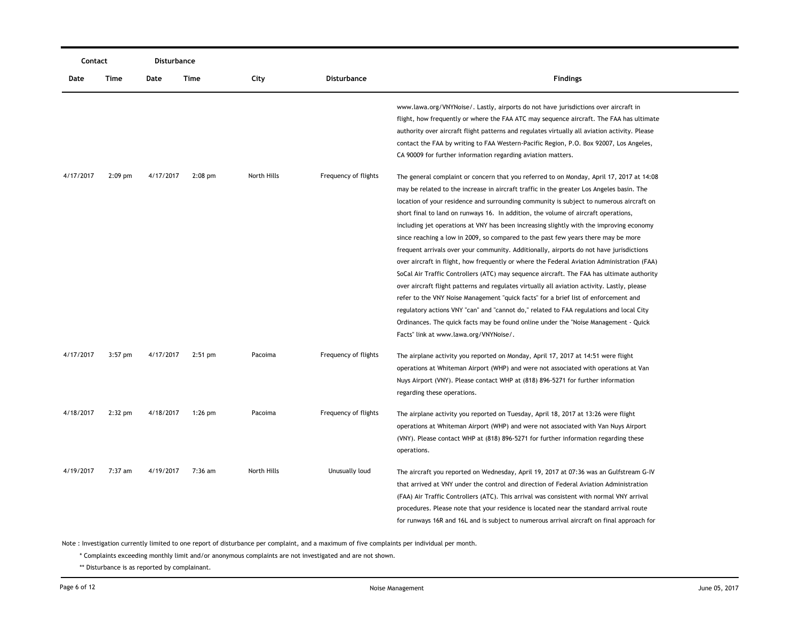| Contact   |           | Disturbance |           |             |                      |                                                                                                                                                                                                                                                                                                                                                                                                                                                                                                                                                                                                                                                                                                                                                                                                                                                                                                                                                                                                                                                                                                                                                                                                                                                               |
|-----------|-----------|-------------|-----------|-------------|----------------------|---------------------------------------------------------------------------------------------------------------------------------------------------------------------------------------------------------------------------------------------------------------------------------------------------------------------------------------------------------------------------------------------------------------------------------------------------------------------------------------------------------------------------------------------------------------------------------------------------------------------------------------------------------------------------------------------------------------------------------------------------------------------------------------------------------------------------------------------------------------------------------------------------------------------------------------------------------------------------------------------------------------------------------------------------------------------------------------------------------------------------------------------------------------------------------------------------------------------------------------------------------------|
| Date      | Time      | Date        | Time      | City        | <b>Disturbance</b>   | <b>Findings</b>                                                                                                                                                                                                                                                                                                                                                                                                                                                                                                                                                                                                                                                                                                                                                                                                                                                                                                                                                                                                                                                                                                                                                                                                                                               |
|           |           |             |           |             |                      | www.lawa.org/VNYNoise/. Lastly, airports do not have jurisdictions over aircraft in<br>flight, how frequently or where the FAA ATC may sequence aircraft. The FAA has ultimate<br>authority over aircraft flight patterns and regulates virtually all aviation activity. Please<br>contact the FAA by writing to FAA Western-Pacific Region, P.O. Box 92007, Los Angeles,<br>CA 90009 for further information regarding aviation matters.                                                                                                                                                                                                                                                                                                                                                                                                                                                                                                                                                                                                                                                                                                                                                                                                                     |
| 4/17/2017 | $2:09$ pm | 4/17/2017   | $2:08$ pm | North Hills | Frequency of flights | The general complaint or concern that you referred to on Monday, April 17, 2017 at 14:08<br>may be related to the increase in aircraft traffic in the greater Los Angeles basin. The<br>location of your residence and surrounding community is subject to numerous aircraft on<br>short final to land on runways 16. In addition, the volume of aircraft operations,<br>including jet operations at VNY has been increasing slightly with the improving economy<br>since reaching a low in 2009, so compared to the past few years there may be more<br>frequent arrivals over your community. Additionally, airports do not have jurisdictions<br>over aircraft in flight, how frequently or where the Federal Aviation Administration (FAA)<br>SoCal Air Traffic Controllers (ATC) may sequence aircraft. The FAA has ultimate authority<br>over aircraft flight patterns and regulates virtually all aviation activity. Lastly, please<br>refer to the VNY Noise Management "quick facts" for a brief list of enforcement and<br>regulatory actions VNY "can" and "cannot do," related to FAA regulations and local City<br>Ordinances. The quick facts may be found online under the "Noise Management - Quick<br>Facts" link at www.lawa.org/VNYNoise/. |
| 4/17/2017 | $3:57$ pm | 4/17/2017   | $2:51$ pm | Pacoima     | Frequency of flights | The airplane activity you reported on Monday, April 17, 2017 at 14:51 were flight<br>operations at Whiteman Airport (WHP) and were not associated with operations at Van<br>Nuys Airport (VNY). Please contact WHP at (818) 896-5271 for further information<br>regarding these operations.                                                                                                                                                                                                                                                                                                                                                                                                                                                                                                                                                                                                                                                                                                                                                                                                                                                                                                                                                                   |
| 4/18/2017 | $2:32$ pm | 4/18/2017   | $1:26$ pm | Pacoima     | Frequency of flights | The airplane activity you reported on Tuesday, April 18, 2017 at 13:26 were flight<br>operations at Whiteman Airport (WHP) and were not associated with Van Nuys Airport<br>(VNY). Please contact WHP at (818) 896-5271 for further information regarding these<br>operations.                                                                                                                                                                                                                                                                                                                                                                                                                                                                                                                                                                                                                                                                                                                                                                                                                                                                                                                                                                                |
| 4/19/2017 | $7:37$ am | 4/19/2017   | $7:36$ am | North Hills | Unusually loud       | The aircraft you reported on Wednesday, April 19, 2017 at 07:36 was an Gulfstream G-IV<br>that arrived at VNY under the control and direction of Federal Aviation Administration<br>(FAA) Air Traffic Controllers (ATC). This arrival was consistent with normal VNY arrival<br>procedures. Please note that your residence is located near the standard arrival route<br>for runways 16R and 16L and is subject to numerous arrival aircraft on final approach for                                                                                                                                                                                                                                                                                                                                                                                                                                                                                                                                                                                                                                                                                                                                                                                           |

\* Complaints exceeding monthly limit and/or anonymous complaints are not investigated and are not shown.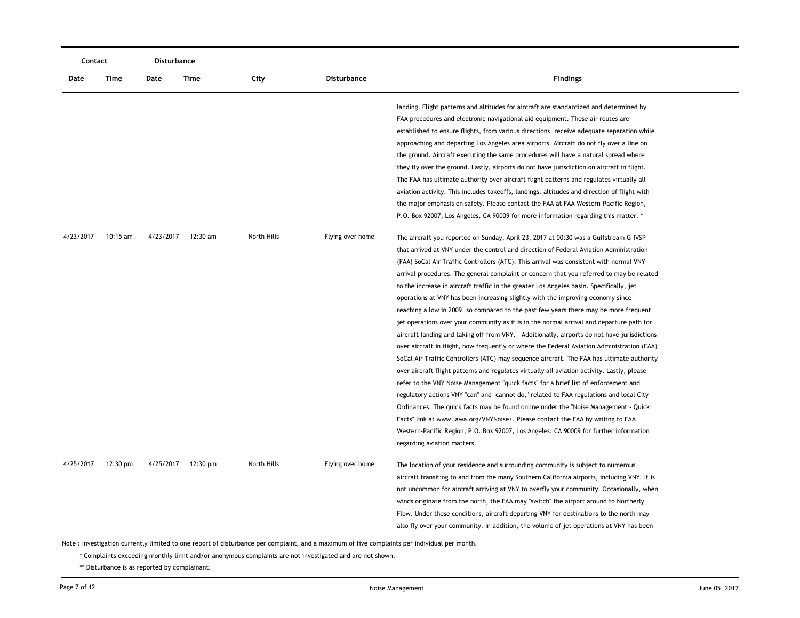| Contact   |            | <b>Disturbance</b> |          |             |                    |                                                                                                                                                                                                                                                                                                                                                                                                                                                                                                                                                                                                                                                                                                                                                                                                                                                                                                                                                                                                                                                                                                                                                                                                                                                                                                                                                                                                                                                                                                                            |
|-----------|------------|--------------------|----------|-------------|--------------------|----------------------------------------------------------------------------------------------------------------------------------------------------------------------------------------------------------------------------------------------------------------------------------------------------------------------------------------------------------------------------------------------------------------------------------------------------------------------------------------------------------------------------------------------------------------------------------------------------------------------------------------------------------------------------------------------------------------------------------------------------------------------------------------------------------------------------------------------------------------------------------------------------------------------------------------------------------------------------------------------------------------------------------------------------------------------------------------------------------------------------------------------------------------------------------------------------------------------------------------------------------------------------------------------------------------------------------------------------------------------------------------------------------------------------------------------------------------------------------------------------------------------------|
| Date      | Time       | Date               | Time     | City        | <b>Disturbance</b> | <b>Findings</b>                                                                                                                                                                                                                                                                                                                                                                                                                                                                                                                                                                                                                                                                                                                                                                                                                                                                                                                                                                                                                                                                                                                                                                                                                                                                                                                                                                                                                                                                                                            |
| 4/23/2017 | $10:15$ am | 4/23/2017          | 12:30 am | North Hills | Flying over home   | landing. Flight patterns and altitudes for aircraft are standardized and determined by<br>FAA procedures and electronic navigational aid equipment. These air routes are<br>established to ensure flights, from various directions, receive adequate separation while<br>approaching and departing Los Angeles area airports. Aircraft do not fly over a line on<br>the ground. Aircraft executing the same procedures will have a natural spread where<br>they fly over the ground. Lastly, airports do not have jurisdiction on aircraft in flight.<br>The FAA has ultimate authority over aircraft flight patterns and regulates virtually all<br>aviation activity. This includes takeoffs, landings, altitudes and direction of flight with<br>the major emphasis on safety. Please contact the FAA at FAA Western-Pacific Region,<br>P.O. Box 92007, Los Angeles, CA 90009 for more information regarding this matter. *<br>The aircraft you reported on Sunday, April 23, 2017 at 00:30 was a Gulfstream G-IVSP                                                                                                                                                                                                                                                                                                                                                                                                                                                                                                     |
|           |            |                    |          |             |                    | that arrived at VNY under the control and direction of Federal Aviation Administration<br>(FAA) SoCal Air Traffic Controllers (ATC). This arrival was consistent with normal VNY<br>arrival procedures. The general complaint or concern that you referred to may be related<br>to the increase in aircraft traffic in the greater Los Angeles basin. Specifically, jet<br>operations at VNY has been increasing slightly with the improving economy since<br>reaching a low in 2009, so compared to the past few years there may be more frequent<br>jet operations over your community as it is in the normal arrival and departure path for<br>aircraft landing and taking off from VNY. Additionally, airports do not have jurisdictions<br>over aircraft in flight, how frequently or where the Federal Aviation Administration (FAA)<br>SoCal Air Traffic Controllers (ATC) may sequence aircraft. The FAA has ultimate authority<br>over aircraft flight patterns and regulates virtually all aviation activity. Lastly, please<br>refer to the VNY Noise Management "quick facts" for a brief list of enforcement and<br>regulatory actions VNY "can" and "cannot do," related to FAA regulations and local City<br>Ordinances. The quick facts may be found online under the "Noise Management - Quick<br>Facts" link at www.lawa.org/VNYNoise/. Please contact the FAA by writing to FAA<br>Western-Pacific Region, P.O. Box 92007, Los Angeles, CA 90009 for further information<br>regarding aviation matters. |
| 4/25/2017 | 12:30 pm   | 4/25/2017          | 12:30 pm | North Hills | Flying over home   | The location of your residence and surrounding community is subject to numerous<br>aircraft transiting to and from the many Southern California airports, including VNY. It is<br>not uncommon for aircraft arriving at VNY to overfly your community. Occasionally, when<br>winds originate from the north, the FAA may "switch" the airport around to Northerly<br>Flow. Under these conditions, aircraft departing VNY for destinations to the north may<br>also fly over your community. In addition, the volume of jet operations at VNY has been                                                                                                                                                                                                                                                                                                                                                                                                                                                                                                                                                                                                                                                                                                                                                                                                                                                                                                                                                                     |

\* Complaints exceeding monthly limit and/or anonymous complaints are not investigated and are not shown.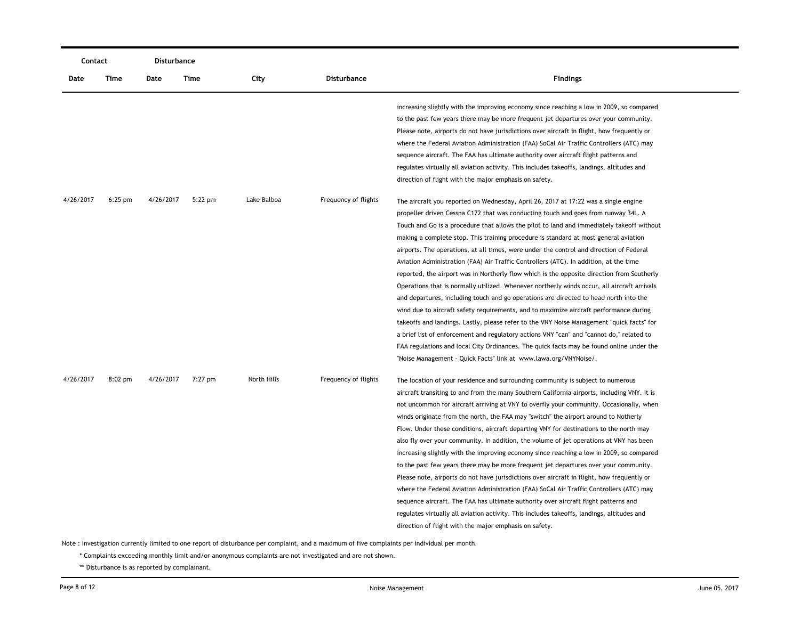|           | Contact   |           | Disturbance |             |                      |                                                                                             |
|-----------|-----------|-----------|-------------|-------------|----------------------|---------------------------------------------------------------------------------------------|
| Date      | Time      | Date      | Time        | City        | <b>Disturbance</b>   | <b>Findings</b>                                                                             |
|           |           |           |             |             |                      | increasing slightly with the improving economy since reaching a low in 2009, so compared    |
|           |           |           |             |             |                      | to the past few years there may be more frequent jet departures over your community.        |
|           |           |           |             |             |                      | Please note, airports do not have jurisdictions over aircraft in flight, how frequently or  |
|           |           |           |             |             |                      | where the Federal Aviation Administration (FAA) SoCal Air Traffic Controllers (ATC) may     |
|           |           |           |             |             |                      | sequence aircraft. The FAA has ultimate authority over aircraft flight patterns and         |
|           |           |           |             |             |                      | regulates virtually all aviation activity. This includes takeoffs, landings, altitudes and  |
|           |           |           |             |             |                      | direction of flight with the major emphasis on safety.                                      |
| 4/26/2017 | $6:25$ pm | 4/26/2017 | $5:22$ pm   | Lake Balboa | Frequency of flights | The aircraft you reported on Wednesday, April 26, 2017 at 17:22 was a single engine         |
|           |           |           |             |             |                      | propeller driven Cessna C172 that was conducting touch and goes from runway 34L. A          |
|           |           |           |             |             |                      | Touch and Go is a procedure that allows the pilot to land and immediately takeoff without   |
|           |           |           |             |             |                      | making a complete stop. This training procedure is standard at most general aviation        |
|           |           |           |             |             |                      | airports. The operations, at all times, were under the control and direction of Federal     |
|           |           |           |             |             |                      | Aviation Administration (FAA) Air Traffic Controllers (ATC). In addition, at the time       |
|           |           |           |             |             |                      | reported, the airport was in Northerly flow which is the opposite direction from Southerly  |
|           |           |           |             |             |                      | Operations that is normally utilized. Whenever northerly winds occur, all aircraft arrivals |
|           |           |           |             |             |                      | and departures, including touch and go operations are directed to head north into the       |
|           |           |           |             |             |                      | wind due to aircraft safety requirements, and to maximize aircraft performance during       |
|           |           |           |             |             |                      | takeoffs and landings. Lastly, please refer to the VNY Noise Management "quick facts" for   |
|           |           |           |             |             |                      | a brief list of enforcement and regulatory actions VNY "can" and "cannot do," related to    |
|           |           |           |             |             |                      | FAA regulations and local City Ordinances. The quick facts may be found online under the    |
|           |           |           |             |             |                      | "Noise Management - Quick Facts" link at www.lawa.org/VNYNoise/.                            |
| 4/26/2017 | $8:02$ pm | 4/26/2017 | 7:27 pm     | North Hills | Frequency of flights | The location of your residence and surrounding community is subject to numerous             |
|           |           |           |             |             |                      | aircraft transiting to and from the many Southern California airports, including VNY. It is |
|           |           |           |             |             |                      | not uncommon for aircraft arriving at VNY to overfly your community. Occasionally, when     |
|           |           |           |             |             |                      | winds originate from the north, the FAA may "switch" the airport around to Notherly         |
|           |           |           |             |             |                      | Flow. Under these conditions, aircraft departing VNY for destinations to the north may      |
|           |           |           |             |             |                      | also fly over your community. In addition, the volume of jet operations at VNY has been     |
|           |           |           |             |             |                      | increasing slightly with the improving economy since reaching a low in 2009, so compared    |
|           |           |           |             |             |                      | to the past few years there may be more frequent jet departures over your community.        |
|           |           |           |             |             |                      | Please note, airports do not have jurisdictions over aircraft in flight, how frequently or  |
|           |           |           |             |             |                      | where the Federal Aviation Administration (FAA) SoCal Air Traffic Controllers (ATC) may     |
|           |           |           |             |             |                      | sequence aircraft. The FAA has ultimate authority over aircraft flight patterns and         |
|           |           |           |             |             |                      | regulates virtually all aviation activity. This includes takeoffs, landings, altitudes and  |
|           |           |           |             |             |                      | direction of flight with the major emphasis on safety.                                      |

\* Complaints exceeding monthly limit and/or anonymous complaints are not investigated and are not shown.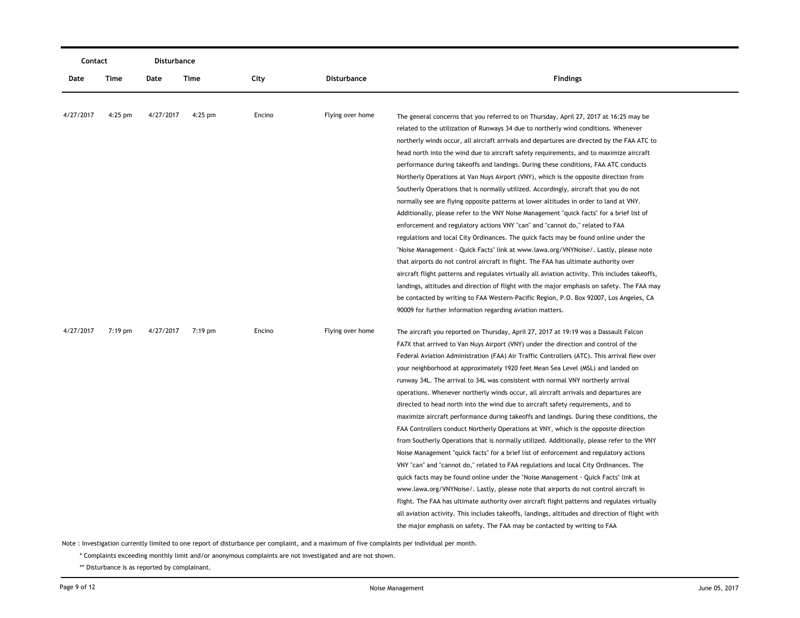| Contact   |           | Disturbance |           |        |                  |                                                                                                 |
|-----------|-----------|-------------|-----------|--------|------------------|-------------------------------------------------------------------------------------------------|
| Date      | Time      | Date        | Time      | City   | Disturbance      | <b>Findings</b>                                                                                 |
|           |           |             |           |        |                  |                                                                                                 |
| 4/27/2017 | $4:25$ pm | 4/27/2017   | $4:25$ pm | Encino | Flying over home | The general concerns that you referred to on Thursday, April 27, 2017 at 16:25 may be           |
|           |           |             |           |        |                  | related to the utilization of Runways 34 due to northerly wind conditions. Whenever             |
|           |           |             |           |        |                  | northerly winds occur, all aircraft arrivals and departures are directed by the FAA ATC to      |
|           |           |             |           |        |                  | head north into the wind due to aircraft safety requirements, and to maximize aircraft          |
|           |           |             |           |        |                  | performance during takeoffs and landings. During these conditions, FAA ATC conducts             |
|           |           |             |           |        |                  | Northerly Operations at Van Nuys Airport (VNY), which is the opposite direction from            |
|           |           |             |           |        |                  | Southerly Operations that is normally utilized. Accordingly, aircraft that you do not           |
|           |           |             |           |        |                  | normally see are flying opposite patterns at lower altitudes in order to land at VNY.           |
|           |           |             |           |        |                  | Additionally, please refer to the VNY Noise Management "quick facts" for a brief list of        |
|           |           |             |           |        |                  | enforcement and regulatory actions VNY "can" and "cannot do," related to FAA                    |
|           |           |             |           |        |                  | regulations and local City Ordinances. The quick facts may be found online under the            |
|           |           |             |           |        |                  | "Noise Management - Quick Facts" link at www.lawa.org/VNYNoise/. Lastly, please note            |
|           |           |             |           |        |                  | that airports do not control aircraft in flight. The FAA has ultimate authority over            |
|           |           |             |           |        |                  | aircraft flight patterns and regulates virtually all aviation activity. This includes takeoffs, |
|           |           |             |           |        |                  | landings, altitudes and direction of flight with the major emphasis on safety. The FAA may      |
|           |           |             |           |        |                  | be contacted by writing to FAA Western-Pacific Region, P.O. Box 92007, Los Angeles, CA          |
|           |           |             |           |        |                  | 90009 for further information regarding aviation matters.                                       |
| 4/27/2017 | 7:19 pm   | 4/27/2017   | 7:19 pm   | Encino | Flying over home | The aircraft you reported on Thursday, April 27, 2017 at 19:19 was a Dassault Falcon            |
|           |           |             |           |        |                  | FA7X that arrived to Van Nuys Airport (VNY) under the direction and control of the              |
|           |           |             |           |        |                  | Federal Aviation Administration (FAA) Air Traffic Controllers (ATC). This arrival flew over     |
|           |           |             |           |        |                  | your neighborhood at approximately 1920 feet Mean Sea Level (MSL) and landed on                 |
|           |           |             |           |        |                  | runway 34L. The arrival to 34L was consistent with normal VNY northerly arrival                 |
|           |           |             |           |        |                  | operations. Whenever northerly winds occur, all aircraft arrivals and departures are            |
|           |           |             |           |        |                  | directed to head north into the wind due to aircraft safety requirements, and to                |
|           |           |             |           |        |                  | maximize aircraft performance during takeoffs and landings. During these conditions, the        |
|           |           |             |           |        |                  | FAA Controllers conduct Northerly Operations at VNY, which is the opposite direction            |
|           |           |             |           |        |                  | from Southerly Operations that is normally utilized. Additionally, please refer to the VNY      |
|           |           |             |           |        |                  | Noise Management "quick facts" for a brief list of enforcement and regulatory actions           |
|           |           |             |           |        |                  | VNY "can" and "cannot do," related to FAA regulations and local City Ordinances. The            |
|           |           |             |           |        |                  | quick facts may be found online under the "Noise Management - Quick Facts" link at              |
|           |           |             |           |        |                  | www.lawa.org/VNYNoise/. Lastly, please note that airports do not control aircraft in            |
|           |           |             |           |        |                  | flight. The FAA has ultimate authority over aircraft flight patterns and regulates virtually    |
|           |           |             |           |        |                  | all aviation activity. This includes takeoffs, landings, altitudes and direction of flight with |
|           |           |             |           |        |                  | the major emphasis on safety. The FAA may be contacted by writing to FAA                        |

\* Complaints exceeding monthly limit and/or anonymous complaints are not investigated and are not shown.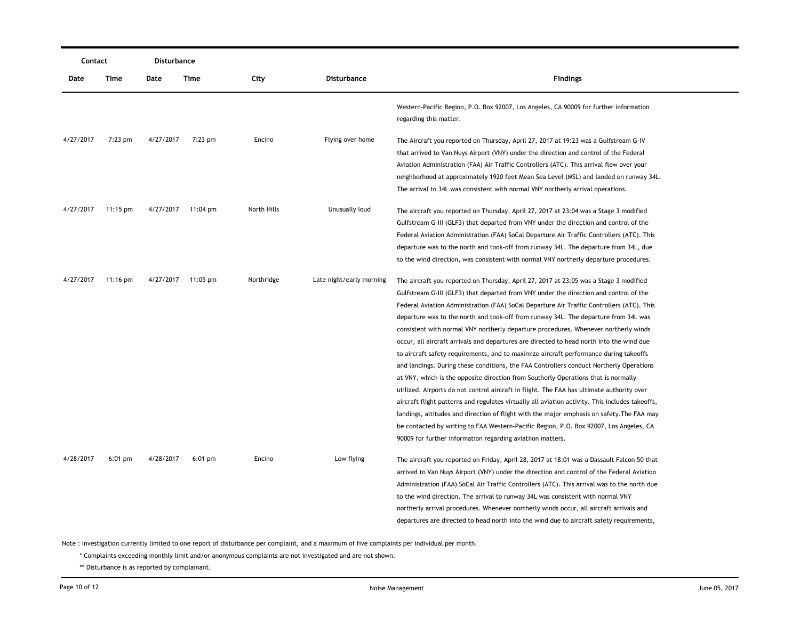| Contact   |                    | Disturbance |                    |             |                          |                                                                                                                 |
|-----------|--------------------|-------------|--------------------|-------------|--------------------------|-----------------------------------------------------------------------------------------------------------------|
| Date      | Time               | Date        | Time               | City        | <b>Disturbance</b>       | <b>Findings</b>                                                                                                 |
|           |                    |             |                    |             |                          | Western-Pacific Region, P.O. Box 92007, Los Angeles, CA 90009 for further information<br>regarding this matter. |
| 4/27/2017 | $7:23$ pm          | 4/27/2017   | $7:23$ pm          | Encino      | Flying over home         | The Aircraft you reported on Thursday, April 27, 2017 at 19:23 was a Gulfstream G-IV                            |
|           |                    |             |                    |             |                          | that arrived to Van Nuys Airport (VNY) under the direction and control of the Federal                           |
|           |                    |             |                    |             |                          | Aviation Administration (FAA) Air Traffic Controllers (ATC). This arrival flew over your                        |
|           |                    |             |                    |             |                          | neighborhood at approximately 1920 feet Mean Sea Level (MSL) and landed on runway 34L.                          |
|           |                    |             |                    |             |                          | The arrival to 34L was consistent with normal VNY northerly arrival operations.                                 |
| 4/27/2017 | $11:15 \text{ pm}$ | 4/27/2017   | 11:04 pm           | North Hills | Unusually loud           | The aircraft you reported on Thursday, April 27, 2017 at 23:04 was a Stage 3 modified                           |
|           |                    |             |                    |             |                          | Gulfstream G-III (GLF3) that departed from VNY under the direction and control of the                           |
|           |                    |             |                    |             |                          | Federal Aviation Administration (FAA) SoCal Departure Air Traffic Controllers (ATC). This                       |
|           |                    |             |                    |             |                          | departure was to the north and took-off from runway 34L. The departure from 34L, due                            |
|           |                    |             |                    |             |                          | to the wind direction, was consistent with normal VNY northerly departure procedures.                           |
| 4/27/2017 | $11:16$ pm         |             | 4/27/2017 11:05 pm | Northridge  | Late night/early morning | The aircraft you reported on Thursday, April 27, 2017 at 23:05 was a Stage 3 modified                           |
|           |                    |             |                    |             |                          | Gulfstream G-III (GLF3) that departed from VNY under the direction and control of the                           |
|           |                    |             |                    |             |                          | Federal Aviation Administration (FAA) SoCal Departure Air Traffic Controllers (ATC). This                       |
|           |                    |             |                    |             |                          | departure was to the north and took-off from runway 34L. The departure from 34L was                             |
|           |                    |             |                    |             |                          | consistent with normal VNY northerly departure procedures. Whenever northerly winds                             |
|           |                    |             |                    |             |                          | occur, all aircraft arrivals and departures are directed to head north into the wind due                        |
|           |                    |             |                    |             |                          | to aircraft safety requirements, and to maximize aircraft performance during takeoffs                           |
|           |                    |             |                    |             |                          | and landings. During these conditions, the FAA Controllers conduct Northerly Operations                         |
|           |                    |             |                    |             |                          | at VNY, which is the opposite direction from Southerly Operations that is normally                              |
|           |                    |             |                    |             |                          | utilized. Airports do not control aircraft in flight. The FAA has ultimate authority over                       |
|           |                    |             |                    |             |                          | aircraft flight patterns and regulates virtually all aviation activity. This includes takeoffs,                 |
|           |                    |             |                    |             |                          | landings, altitudes and direction of flight with the major emphasis on safety. The FAA may                      |
|           |                    |             |                    |             |                          | be contacted by writing to FAA Western-Pacific Region, P.O. Box 92007, Los Angeles, CA                          |
|           |                    |             |                    |             |                          | 90009 for further information regarding aviatiion matters.                                                      |
| 4/28/2017 | $6:01$ pm          | 4/28/2017   | $6:01$ pm          | Encino      | Low flying               | The aircraft you reported on Friday, April 28, 2017 at 18:01 was a Dassault Falcon 50 that                      |
|           |                    |             |                    |             |                          | arrived to Van Nuys Airport (VNY) under the direction and control of the Federal Aviation                       |
|           |                    |             |                    |             |                          | Administration (FAA) SoCal Air Traffic Controllers (ATC). This arrival was to the north due                     |
|           |                    |             |                    |             |                          | to the wind direction. The arrival to runway 34L was consistent with normal VNY                                 |
|           |                    |             |                    |             |                          | northerly arrival procedures. Whenever northerly winds occur, all aircraft arrivals and                         |
|           |                    |             |                    |             |                          | departures are directed to head north into the wind due to aircraft safety requirements,                        |
|           |                    |             |                    |             |                          |                                                                                                                 |

\* Complaints exceeding monthly limit and/or anonymous complaints are not investigated and are not shown.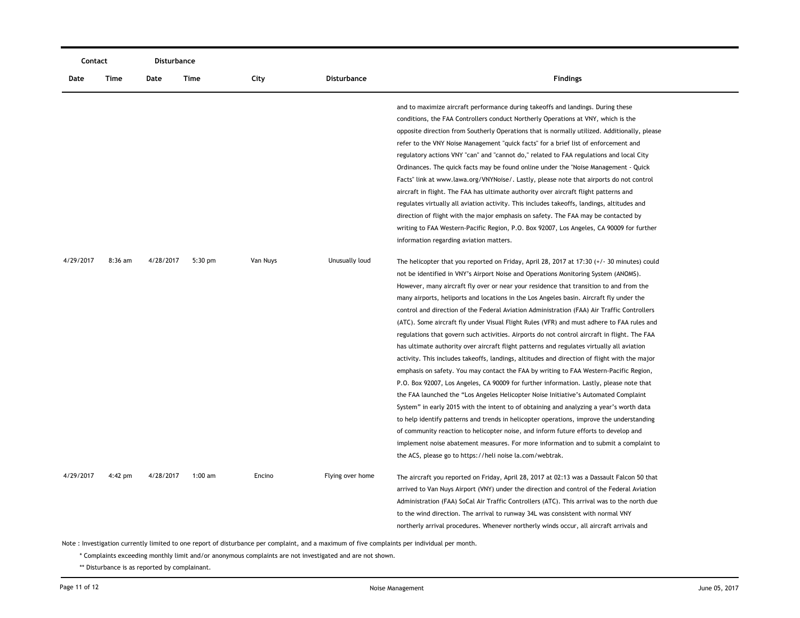| Contact   |           | Disturbance |           |          |                  |                                                                                                                                                                                                                                                                                                                                                                                                                                                                                                                                                                                                                                                                                                                                                                                                                                                                                                                                                                                                                                                                                                                                                                                                                                                                                                                                                                                                                                                                                                                                                                               |
|-----------|-----------|-------------|-----------|----------|------------------|-------------------------------------------------------------------------------------------------------------------------------------------------------------------------------------------------------------------------------------------------------------------------------------------------------------------------------------------------------------------------------------------------------------------------------------------------------------------------------------------------------------------------------------------------------------------------------------------------------------------------------------------------------------------------------------------------------------------------------------------------------------------------------------------------------------------------------------------------------------------------------------------------------------------------------------------------------------------------------------------------------------------------------------------------------------------------------------------------------------------------------------------------------------------------------------------------------------------------------------------------------------------------------------------------------------------------------------------------------------------------------------------------------------------------------------------------------------------------------------------------------------------------------------------------------------------------------|
| Date      | Time      | Date        | Time      | City     | Disturbance      | <b>Findings</b>                                                                                                                                                                                                                                                                                                                                                                                                                                                                                                                                                                                                                                                                                                                                                                                                                                                                                                                                                                                                                                                                                                                                                                                                                                                                                                                                                                                                                                                                                                                                                               |
|           |           |             |           |          |                  | and to maximize aircraft performance during takeoffs and landings. During these<br>conditions, the FAA Controllers conduct Northerly Operations at VNY, which is the<br>opposite direction from Southerly Operations that is normally utilized. Additionally, please<br>refer to the VNY Noise Management "quick facts" for a brief list of enforcement and<br>regulatory actions VNY "can" and "cannot do," related to FAA regulations and local City<br>Ordinances. The quick facts may be found online under the "Noise Management - Quick<br>Facts" link at www.lawa.org/VNYNoise/. Lastly, please note that airports do not control<br>aircraft in flight. The FAA has ultimate authority over aircraft flight patterns and<br>regulates virtually all aviation activity. This includes takeoffs, landings, altitudes and<br>direction of flight with the major emphasis on safety. The FAA may be contacted by<br>writing to FAA Western-Pacific Region, P.O. Box 92007, Los Angeles, CA 90009 for further<br>information regarding aviation matters.                                                                                                                                                                                                                                                                                                                                                                                                                                                                                                                   |
| 4/29/2017 | $8:36$ am | 4/28/2017   | $5:30$ pm | Van Nuys | Unusually loud   | The helicopter that you reported on Friday, April 28, 2017 at 17:30 $(+/- 30$ minutes) could<br>not be identified in VNY's Airport Noise and Operations Monitoring System (ANOMS).<br>However, many aircraft fly over or near your residence that transition to and from the<br>many airports, heliports and locations in the Los Angeles basin. Aircraft fly under the<br>control and direction of the Federal Aviation Administration (FAA) Air Traffic Controllers<br>(ATC). Some aircraft fly under Visual Flight Rules (VFR) and must adhere to FAA rules and<br>regulations that govern such activities. Airports do not control aircraft in flight. The FAA<br>has ultimate authority over aircraft flight patterns and regulates virtually all aviation<br>activity. This includes takeoffs, landings, altitudes and direction of flight with the major<br>emphasis on safety. You may contact the FAA by writing to FAA Western-Pacific Region,<br>P.O. Box 92007, Los Angeles, CA 90009 for further information. Lastly, please note that<br>the FAA launched the "Los Angeles Helicopter Noise Initiative's Automated Complaint<br>System" in early 2015 with the intent to of obtaining and analyzing a year's worth data<br>to help identify patterns and trends in helicopter operations, improve the understanding<br>of community reaction to helicopter noise, and inform future efforts to develop and<br>implement noise abatement measures. For more information and to submit a complaint to<br>the ACS, please go to https://heli noise la.com/webtrak. |
| 4/29/2017 | 4:42 pm   | 4/28/2017   | $1:00$ am | Encino   | Flying over home | The aircraft you reported on Friday, April 28, 2017 at 02:13 was a Dassault Falcon 50 that<br>arrived to Van Nuys Airport (VNY) under the direction and control of the Federal Aviation<br>Administration (FAA) SoCal Air Traffic Controllers (ATC). This arrival was to the north due<br>to the wind direction. The arrival to runway 34L was consistent with normal VNY<br>northerly arrival procedures. Whenever northerly winds occur, all aircraft arrivals and                                                                                                                                                                                                                                                                                                                                                                                                                                                                                                                                                                                                                                                                                                                                                                                                                                                                                                                                                                                                                                                                                                          |

\* Complaints exceeding monthly limit and/or anonymous complaints are not investigated and are not shown.